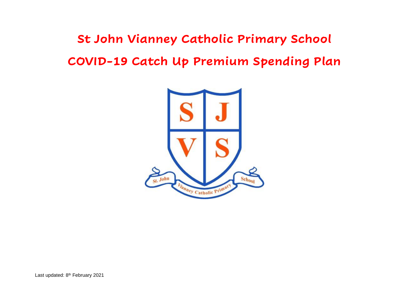**St John Vianney Catholic Primary School COVID-19 Catch Up Premium Spending Plan**

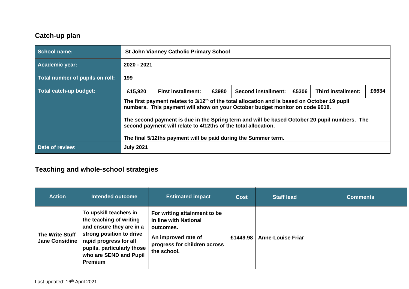## **Catch-up plan**

| School name:                    | <b>St John Vianney Catholic Primary School</b>                                                                                                                                                                                                                                                                                                                                                                               |  |  |  |  |  |  |  |
|---------------------------------|------------------------------------------------------------------------------------------------------------------------------------------------------------------------------------------------------------------------------------------------------------------------------------------------------------------------------------------------------------------------------------------------------------------------------|--|--|--|--|--|--|--|
| Academic year:                  | 2020 - 2021                                                                                                                                                                                                                                                                                                                                                                                                                  |  |  |  |  |  |  |  |
| Total number of pupils on roll: | 199                                                                                                                                                                                                                                                                                                                                                                                                                          |  |  |  |  |  |  |  |
| Total catch-up budget:          | £6634<br>£5306<br>£15,920<br>£3980<br><b>Second installment:</b><br><b>Third installment:</b><br><b>First installment:</b>                                                                                                                                                                                                                                                                                                   |  |  |  |  |  |  |  |
|                                 | The first payment relates to 3/12 <sup>th</sup> of the total allocation and is based on October 19 pupil<br>numbers. This payment will show on your October budget monitor on code 9018.<br>The second payment is due in the Spring term and will be based October 20 pupil numbers. The<br>second payment will relate to 4/12ths of the total allocation.<br>The final 5/12ths payment will be paid during the Summer term. |  |  |  |  |  |  |  |
| Date of review:                 | <b>July 2021</b>                                                                                                                                                                                                                                                                                                                                                                                                             |  |  |  |  |  |  |  |

# **Teaching and whole-school strategies**

| <b>Action</b>                                   | <b>Intended outcome</b>                                                                                                                                                                                | <b>Estimated impact</b>                                                                                                                  | <b>Cost</b> | <b>Staff lead</b>        | <b>Comments</b> |
|-------------------------------------------------|--------------------------------------------------------------------------------------------------------------------------------------------------------------------------------------------------------|------------------------------------------------------------------------------------------------------------------------------------------|-------------|--------------------------|-----------------|
| <b>The Write Stuff</b><br><b>Jane Considine</b> | To upskill teachers in<br>the teaching of writing<br>and ensure they are in a<br>strong position to drive<br>rapid progress for all<br>pupils, particularly those<br>who are SEND and Pupil<br>Premium | For writing attainment to be<br>in line with National<br>outcomes.<br>An improved rate of<br>progress for children across<br>the school. | £1449.98    | <b>Anne-Louise Friar</b> |                 |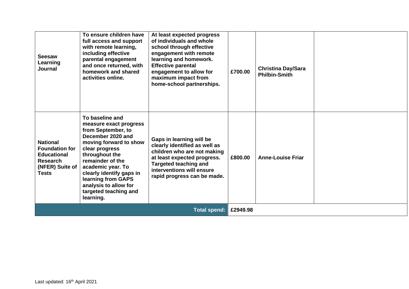| <b>Seesaw</b><br>Learning<br>Journal                                                                                 | To ensure children have<br>full access and support<br>with remote learning,<br>including effective<br>parental engagement<br>and once returned, with<br>homework and shared<br>activities online.                                                                                                            | At least expected progress<br>of individuals and whole<br>school through effective<br>engagement with remote<br>learning and homework.<br><b>Effective parental</b><br>engagement to allow for<br>maximum impact from<br>home-school partnerships. | £700.00  | <b>Christina Day/Sara</b><br><b>Philbin-Smith</b> |  |
|----------------------------------------------------------------------------------------------------------------------|--------------------------------------------------------------------------------------------------------------------------------------------------------------------------------------------------------------------------------------------------------------------------------------------------------------|----------------------------------------------------------------------------------------------------------------------------------------------------------------------------------------------------------------------------------------------------|----------|---------------------------------------------------|--|
| <b>National</b><br><b>Foundation for</b><br><b>Educational</b><br><b>Research</b><br>(NFER) Suite of<br><b>Tests</b> | To baseline and<br>measure exact progress<br>from September, to<br>December 2020 and<br>moving forward to show<br>clear progress<br>throughout the<br>remainder of the<br>academic year. To<br>clearly identify gaps in<br>learning from GAPS<br>analysis to allow for<br>targeted teaching and<br>learning. | Gaps in learning will be<br>clearly identified as well as<br>children who are not making<br>at least expected progress.<br><b>Targeted teaching and</b><br>interventions will ensure<br>rapid progress can be made.                                | £800.00  | <b>Anne-Louise Friar</b>                          |  |
| <b>Total spend:</b>                                                                                                  |                                                                                                                                                                                                                                                                                                              |                                                                                                                                                                                                                                                    | £2949.98 |                                                   |  |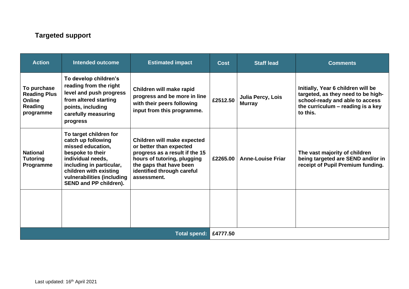## **Targeted support**

| <b>Action</b>                                                               | <b>Intended outcome</b>                                                                                                                                                                                                  | <b>Estimated impact</b>                                                                                                                                                                         | <b>Cost</b> | <b>Staff lead</b>                  | <b>Comments</b>                                                                                                                                              |
|-----------------------------------------------------------------------------|--------------------------------------------------------------------------------------------------------------------------------------------------------------------------------------------------------------------------|-------------------------------------------------------------------------------------------------------------------------------------------------------------------------------------------------|-------------|------------------------------------|--------------------------------------------------------------------------------------------------------------------------------------------------------------|
| To purchase<br><b>Reading Plus</b><br><b>Online</b><br>Reading<br>programme | To develop children's<br>reading from the right<br>level and push progress<br>from altered starting<br>points, including<br>carefully measuring<br>progress                                                              | Children will make rapid<br>progress and be more in line<br>with their peers following<br>input from this programme.                                                                            | £2512.50    | Julia Percy, Lois<br><b>Murray</b> | Initially, Year 6 children will be<br>targeted, as they need to be high-<br>school-ready and able to access<br>the curriculum – reading is a key<br>to this. |
| <b>National</b><br><b>Tutoring</b><br>Programme                             | To target children for<br>catch up following<br>missed education,<br>bespoke to their<br>individual needs,<br>including in particular,<br>children with existing<br>vulnerabilities (including<br>SEND and PP children). | Children will make expected<br>or better than expected<br>progress as a result if the 15<br>hours of tutoring, plugging<br>the gaps that have been<br>identified through careful<br>assessment. | £2265.00    | <b>Anne-Louise Friar</b>           | The vast majority of children<br>being targeted are SEND and/or in<br>receipt of Pupil Premium funding.                                                      |
|                                                                             |                                                                                                                                                                                                                          |                                                                                                                                                                                                 |             |                                    |                                                                                                                                                              |
| <b>Total spend:</b>                                                         |                                                                                                                                                                                                                          |                                                                                                                                                                                                 | £4777.50    |                                    |                                                                                                                                                              |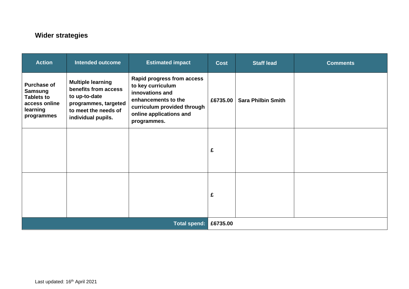## **Wider strategies**

| <b>Action</b>                                                                                        | <b>Intended outcome</b>                                                                                                                 | <b>Estimated impact</b>                                                                                                                                            | <b>Cost</b> | <b>Staff lead</b>         | <b>Comments</b> |
|------------------------------------------------------------------------------------------------------|-----------------------------------------------------------------------------------------------------------------------------------------|--------------------------------------------------------------------------------------------------------------------------------------------------------------------|-------------|---------------------------|-----------------|
| <b>Purchase of</b><br><b>Samsung</b><br><b>Tablets to</b><br>access online<br>learning<br>programmes | <b>Multiple learning</b><br>benefits from access<br>to up-to-date<br>programmes, targeted<br>to meet the needs of<br>individual pupils. | Rapid progress from access<br>to key curriculum<br>innovations and<br>enhancements to the<br>curriculum provided through<br>online applications and<br>programmes. | £6735.00    | <b>Sara Philbin Smith</b> |                 |
|                                                                                                      |                                                                                                                                         |                                                                                                                                                                    | £           |                           |                 |
|                                                                                                      |                                                                                                                                         |                                                                                                                                                                    | £           |                           |                 |
| <b>Total spend:</b>                                                                                  |                                                                                                                                         |                                                                                                                                                                    | £6735.00    |                           |                 |